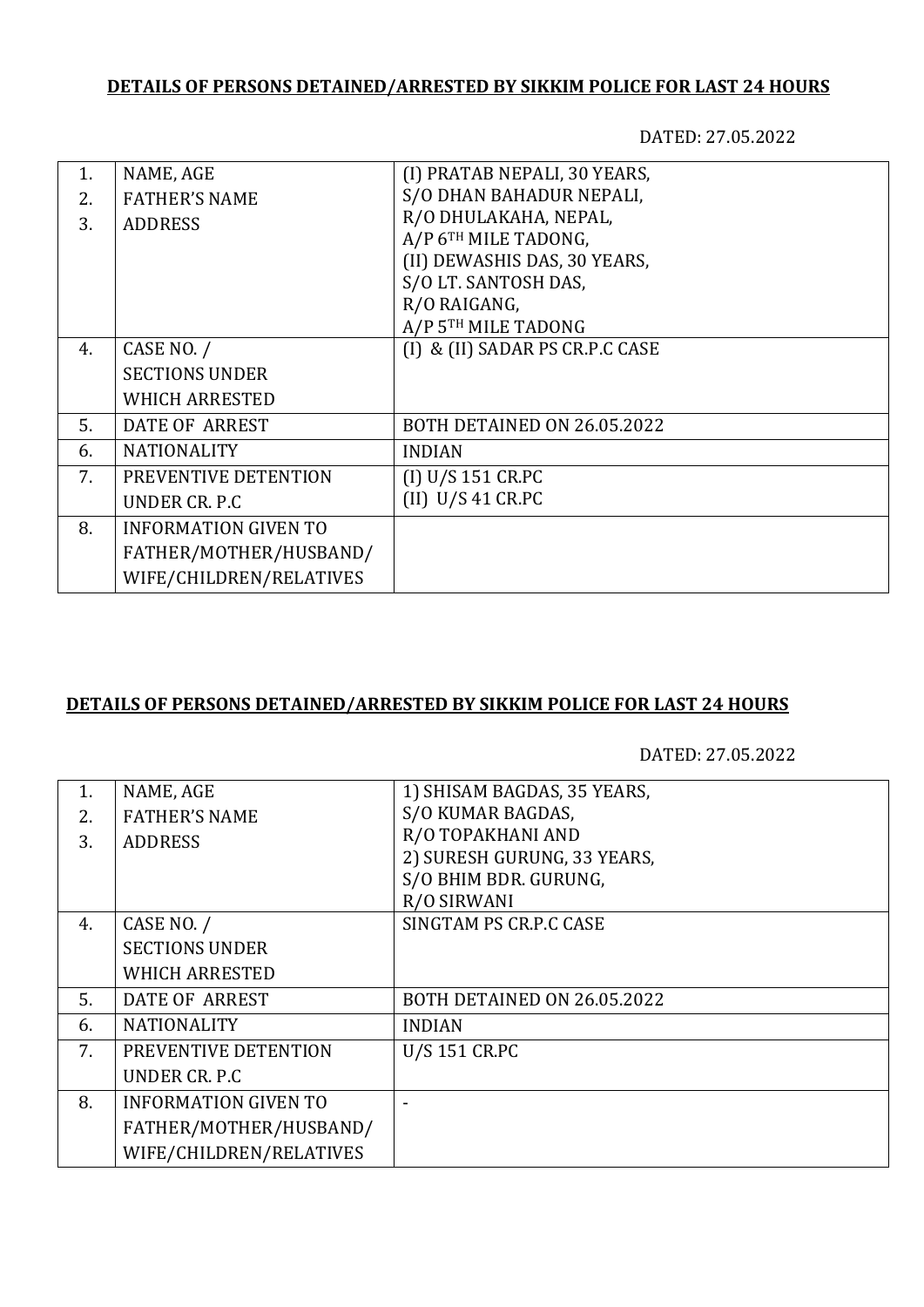# **DETAILS OF PERSONS DETAINED/ARRESTED BY SIKKIM POLICE FOR LAST 24 HOURS**

DATED: 27.05.2022

| 1. | NAME, AGE                   | (I) PRATAB NEPALI, 30 YEARS,    |
|----|-----------------------------|---------------------------------|
| 2. | <b>FATHER'S NAME</b>        | S/O DHAN BAHADUR NEPALI,        |
| 3. | <b>ADDRESS</b>              | R/O DHULAKAHA, NEPAL,           |
|    |                             | A/P 6TH MILE TADONG,            |
|    |                             | (II) DEWASHIS DAS, 30 YEARS,    |
|    |                             | S/O LT. SANTOSH DAS,            |
|    |                             | R/O RAIGANG,                    |
|    |                             | A/P 5TH MILE TADONG             |
| 4. | CASE NO. /                  | (I) & (II) SADAR PS CR.P.C CASE |
|    | <b>SECTIONS UNDER</b>       |                                 |
|    | <b>WHICH ARRESTED</b>       |                                 |
| 5. | DATE OF ARREST              | BOTH DETAINED ON 26.05.2022     |
| 6. | <b>NATIONALITY</b>          | <b>INDIAN</b>                   |
| 7. | PREVENTIVE DETENTION        | (I) U/S 151 CR.PC               |
|    | UNDER CR. P.C.              | $(II)$ U/S 41 CR.PC             |
| 8. | <b>INFORMATION GIVEN TO</b> |                                 |
|    | FATHER/MOTHER/HUSBAND/      |                                 |
|    | WIFE/CHILDREN/RELATIVES     |                                 |
|    |                             |                                 |

### **DETAILS OF PERSONS DETAINED/ARRESTED BY SIKKIM POLICE FOR LAST 24 HOURS**

DATED: 27.05.2022

| 1. | NAME, AGE                   | 1) SHISAM BAGDAS, 35 YEARS, |
|----|-----------------------------|-----------------------------|
| 2. | <b>FATHER'S NAME</b>        | S/O KUMAR BAGDAS,           |
| 3. | <b>ADDRESS</b>              | R/O TOPAKHANI AND           |
|    |                             | 2) SURESH GURUNG, 33 YEARS, |
|    |                             | S/O BHIM BDR. GURUNG,       |
|    |                             | R/O SIRWANI                 |
| 4. | CASE NO. /                  | SINGTAM PS CR.P.C CASE      |
|    | <b>SECTIONS UNDER</b>       |                             |
|    | <b>WHICH ARRESTED</b>       |                             |
| 5. | DATE OF ARREST              | BOTH DETAINED ON 26.05.2022 |
| 6. | <b>NATIONALITY</b>          | <b>INDIAN</b>               |
| 7. | PREVENTIVE DETENTION        | <b>U/S 151 CR.PC</b>        |
|    | UNDER CR. P.C.              |                             |
| 8. | <b>INFORMATION GIVEN TO</b> |                             |
|    | FATHER/MOTHER/HUSBAND/      |                             |
|    | WIFE/CHILDREN/RELATIVES     |                             |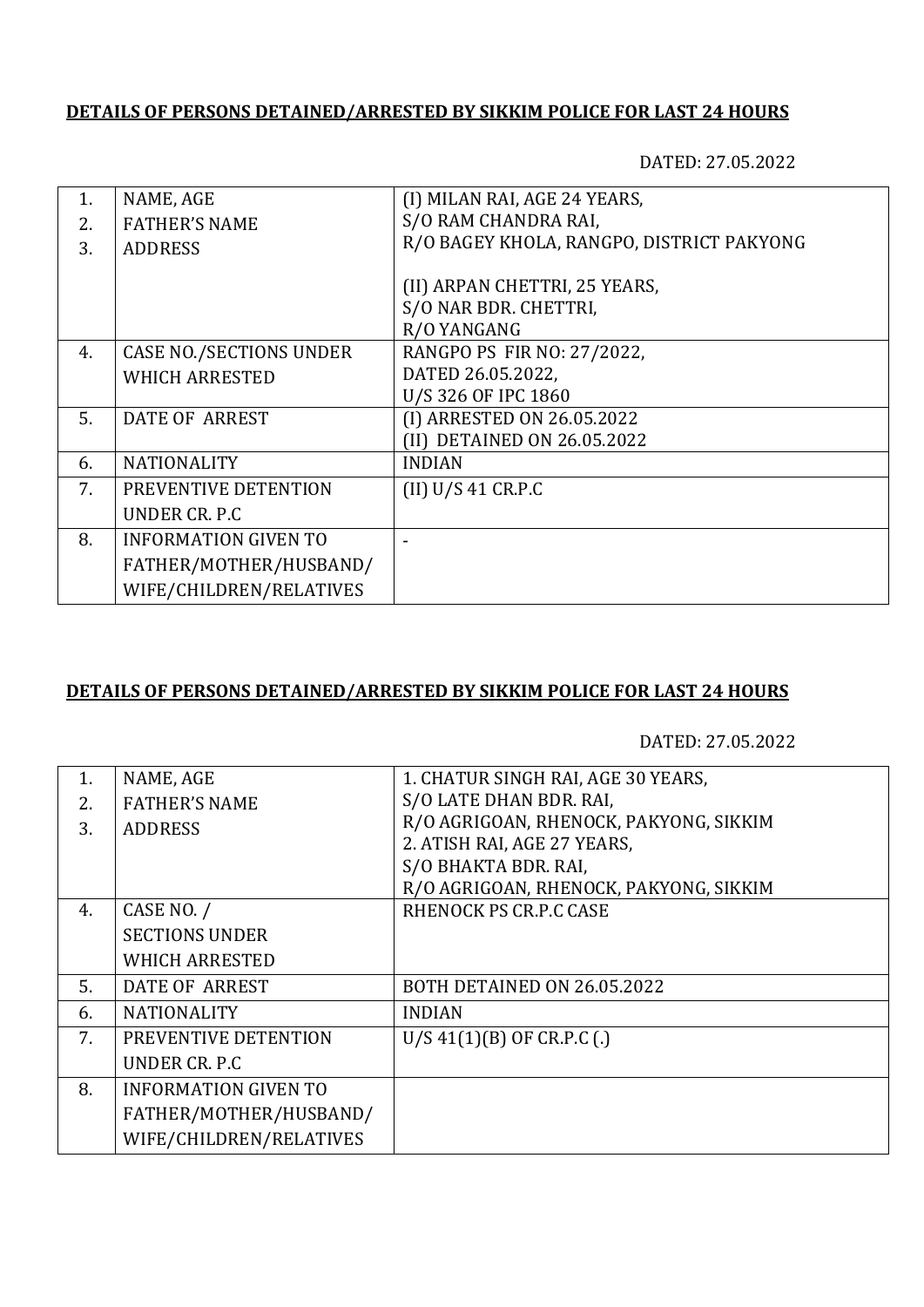### **DETAILS OF PERSONS DETAINED/ARRESTED BY SIKKIM POLICE FOR LAST 24 HOURS**

DATED: 27.05.2022

| 1. | NAME, AGE                      | (I) MILAN RAI, AGE 24 YEARS,              |
|----|--------------------------------|-------------------------------------------|
| 2. | <b>FATHER'S NAME</b>           | S/O RAM CHANDRA RAI,                      |
| 3. | <b>ADDRESS</b>                 | R/O BAGEY KHOLA, RANGPO, DISTRICT PAKYONG |
|    |                                |                                           |
|    |                                | (II) ARPAN CHETTRI, 25 YEARS,             |
|    |                                | S/O NAR BDR. CHETTRI,                     |
|    |                                | R/O YANGANG                               |
| 4. | <b>CASE NO./SECTIONS UNDER</b> | RANGPO PS FIR NO: 27/2022,                |
|    | <b>WHICH ARRESTED</b>          | DATED 26.05.2022,                         |
|    |                                | U/S 326 OF IPC 1860                       |
| 5. | DATE OF ARREST                 | (I) ARRESTED ON 26.05.2022                |
|    |                                | (II) DETAINED ON 26.05.2022               |
| 6. | <b>NATIONALITY</b>             | <b>INDIAN</b>                             |
| 7. | PREVENTIVE DETENTION           | (II) U/S 41 C R.P.C                       |
|    | UNDER CR. P.C.                 |                                           |
| 8. | <b>INFORMATION GIVEN TO</b>    |                                           |
|    | FATHER/MOTHER/HUSBAND/         |                                           |
|    | WIFE/CHILDREN/RELATIVES        |                                           |

### **DETAILS OF PERSONS DETAINED/ARRESTED BY SIKKIM POLICE FOR LAST 24 HOURS**

DATED: 27.05.2022

| $\mathbf{1}$ . | NAME, AGE                   | 1. CHATUR SINGH RAI, AGE 30 YEARS,     |
|----------------|-----------------------------|----------------------------------------|
| 2.             | <b>FATHER'S NAME</b>        | S/O LATE DHAN BDR. RAI,                |
| 3.             | <b>ADDRESS</b>              | R/O AGRIGOAN, RHENOCK, PAKYONG, SIKKIM |
|                |                             | 2. ATISH RAI, AGE 27 YEARS,            |
|                |                             | S/O BHAKTA BDR. RAI,                   |
|                |                             | R/O AGRIGOAN, RHENOCK, PAKYONG, SIKKIM |
| 4.             | CASE NO. /                  | RHENOCK PS CR.P.C CASE                 |
|                | <b>SECTIONS UNDER</b>       |                                        |
|                | WHICH ARRESTED              |                                        |
| 5.             | DATE OF ARREST              | BOTH DETAINED ON 26.05.2022            |
| 6.             | <b>NATIONALITY</b>          | <b>INDIAN</b>                          |
| 7.             | PREVENTIVE DETENTION        | $U/S$ 41(1)(B) OF CR.P.C (.)           |
|                | UNDER CR. P.C               |                                        |
| 8.             | <b>INFORMATION GIVEN TO</b> |                                        |
|                | FATHER/MOTHER/HUSBAND/      |                                        |
|                | WIFE/CHILDREN/RELATIVES     |                                        |